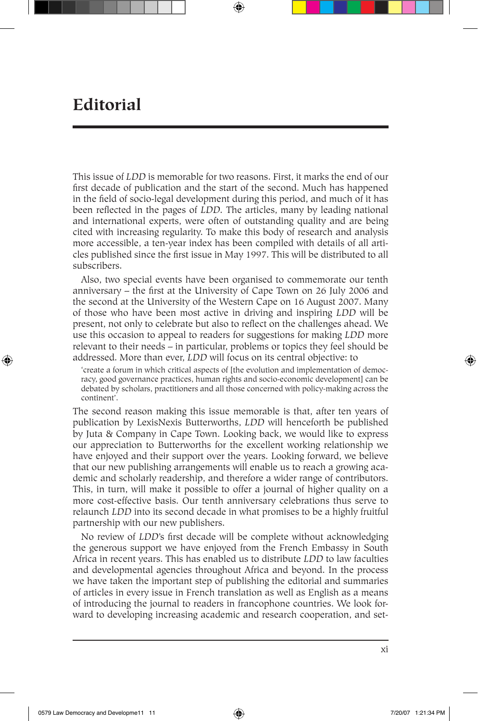## **Editorial**

⊕

This issue of *LDD* is memorable for two reasons. First, it marks the end of our first decade of publication and the start of the second. Much has happened in the field of socio-legal development during this period, and much of it has been reflected in the pages of *LDD.* The articles, many by leading national and international experts, were often of outstanding quality and are being cited with increasing regularity. To make this body of research and analysis more accessible, a ten-year index has been compiled with details of all articles published since the first issue in May 1997. This will be distributed to all subscribers.

Also, two special events have been organised to commemorate our tenth anniversary – the first at the University of Cape Town on 26 July 2006 and the second at the University of the Western Cape on 16 August 2007. Many of those who have been most active in driving and inspiring *LDD* will be present, not only to celebrate but also to reflect on the challenges ahead. We use this occasion to appeal to readers for suggestions for making *LDD* more relevant to their needs – in particular, problems or topics they feel should be addressed. More than ever, *LDD* will focus on its central objective: to

'create a forum in which critical aspects of [the evolution and implementation of democracy, good governance practices, human rights and socio-economic development] can be debated by scholars, practitioners and all those concerned with policy-making across the continent'.

The second reason making this issue memorable is that, after ten years of publication by LexisNexis Butterworths, *LDD* will henceforth be published by Juta & Company in Cape Town. Looking back, we would like to express our appreciation to Butterworths for the excellent working relationship we have enjoyed and their support over the years. Looking forward, we believe that our new publishing arrangements will enable us to reach a growing academic and scholarly readership, and therefore a wider range of contributors. This, in turn, will make it possible to offer a journal of higher quality on a more cost-effective basis. Our tenth anniversary celebrations thus serve to relaunch *LDD* into its second decade in what promises to be a highly fruitful partnership with our new publishers.

No review of *LDD*'s first decade will be complete without acknowledging the generous support we have enjoyed from the French Embassy in South Africa in recent years. This has enabled us to distribute *LDD* to law faculties and developmental agencies throughout Africa and beyond. In the process we have taken the important step of publishing the editorial and summaries of articles in every issue in French translation as well as English as a means of introducing the journal to readers in francophone countries. We look forward to developing increasing academic and research cooperation, and set-

xi

⊕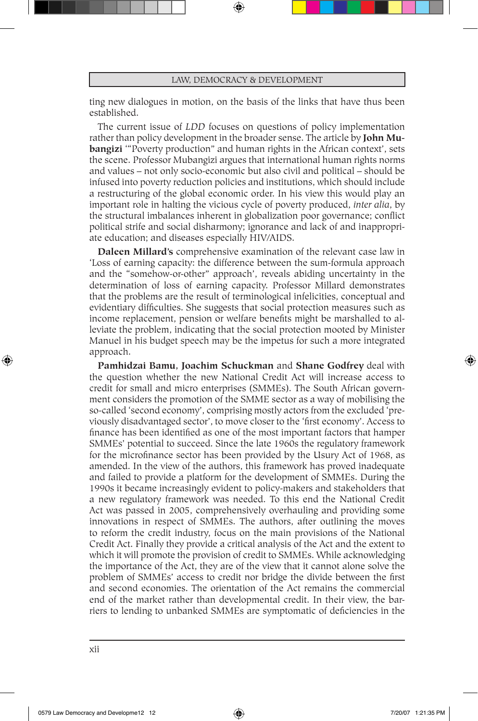## LAW, DEMOCRACY & DEVELOPMENT

ting new dialogues in motion, on the basis of the links that have thus been established.

The current issue of *LDD* focuses on questions of policy implementation rather than policy development in the broader sense. The article by **John Mubangizi** '"Poverty production" and human rights in the African context', sets the scene. Professor Mubangizi argues that international human rights norms and values – not only socio-economic but also civil and political – should be infused into poverty reduction policies and institutions, which should include a restructuring of the global economic order. In his view this would play an important role in halting the vicious cycle of poverty produced, *inter alia*, by the structural imbalances inherent in globalization poor governance; conflict political strife and social disharmony; ignorance and lack of and inappropriate education; and diseases especially HIV/AIDS.

**Daleen Millard's** comprehensive examination of the relevant case law in 'Loss of earning capacity: the difference between the sum-formula approach and the "somehow-or-other" approach', reveals abiding uncertainty in the determination of loss of earning capacity. Professor Millard demonstrates that the problems are the result of terminological infelicities, conceptual and evidentiary difficulties. She suggests that social protection measures such as income replacement, pension or welfare benefits might be marshalled to alleviate the problem, indicating that the social protection mooted by Minister Manuel in his budget speech may be the impetus for such a more integrated approach.

**Pamhidzai Bamu, Joachim Schuckman** and **Shane Godfrey** deal with the question whether the new National Credit Act will increase access to credit for small and micro enterprises (SMMEs). The South African government considers the promotion of the SMME sector as a way of mobilising the so-called 'second economy', comprising mostly actors from the excluded 'previously disadvantaged sector', to move closer to the 'first economy'. Access to finance has been identified as one of the most important factors that hamper SMMEs' potential to succeed. Since the late 1960s the regulatory framework for the microfinance sector has been provided by the Usury Act of 1968, as amended. In the view of the authors, this framework has proved inadequate and failed to provide a platform for the development of SMMEs. During the 1990s it became increasingly evident to policy-makers and stakeholders that a new regulatory framework was needed. To this end the National Credit Act was passed in 2005, comprehensively overhauling and providing some innovations in respect of SMMEs. The authors, after outlining the moves to reform the credit industry, focus on the main provisions of the National Credit Act. Finally they provide a critical analysis of the Act and the extent to which it will promote the provision of credit to SMMEs. While acknowledging the importance of the Act, they are of the view that it cannot alone solve the problem of SMMEs' access to credit nor bridge the divide between the first and second economies. The orientation of the Act remains the commercial end of the market rather than developmental credit. In their view, the barriers to lending to unbanked SMMEs are symptomatic of deficiencies in the

⊕

⊕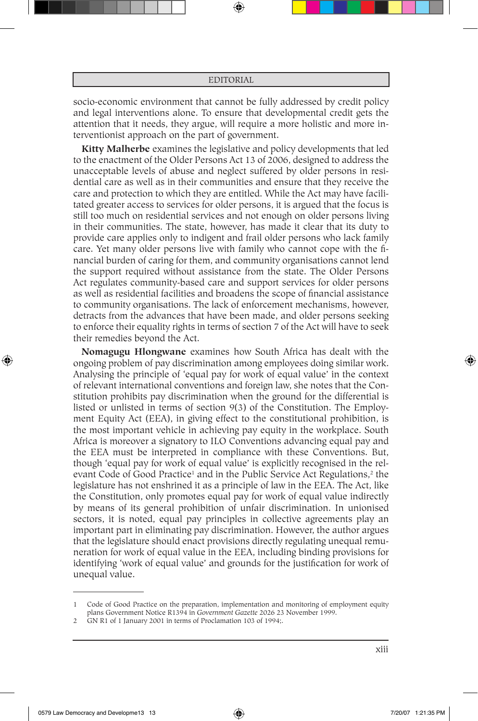## EDITORIAL

socio-economic environment that cannot be fully addressed by credit policy and legal interventions alone. To ensure that developmental credit gets the attention that it needs, they argue, will require a more holistic and more interventionist approach on the part of government.

**Kitty Malherbe** examines the legislative and policy developments that led to the enactment of the Older Persons Act 13 of 2006, designed to address the unacceptable levels of abuse and neglect suffered by older persons in residential care as well as in their communities and ensure that they receive the care and protection to which they are entitled. While the Act may have facilitated greater access to services for older persons, it is argued that the focus is still too much on residential services and not enough on older persons living in their communities. The state, however, has made it clear that its duty to provide care applies only to indigent and frail older persons who lack family care. Yet many older persons live with family who cannot cope with the financial burden of caring for them, and community organisations cannot lend the support required without assistance from the state. The Older Persons Act regulates community-based care and support services for older persons as well as residential facilities and broadens the scope of financial assistance to community organisations. The lack of enforcement mechanisms, however, detracts from the advances that have been made, and older persons seeking to enforce their equality rights in terms of section 7 of the Act will have to seek their remedies beyond the Act.

**Nomagugu Hlongwane** examines how South Africa has dealt with the ongoing problem of pay discrimination among employees doing similar work. Analysing the principle of 'equal pay for work of equal value' in the context of relevant international conventions and foreign law, she notes that the Constitution prohibits pay discrimination when the ground for the differential is listed or unlisted in terms of section 9(3) of the Constitution. The Employment Equity Act (EEA), in giving effect to the constitutional prohibition, is the most important vehicle in achieving pay equity in the workplace. South Africa is moreover a signatory to ILO Conventions advancing equal pay and the EEA must be interpreted in compliance with these Conventions. But, though 'equal pay for work of equal value' is explicitly recognised in the relevant Code of Good Practice<sup>1</sup> and in the Public Service Act Regulations,<sup>2</sup> the legislature has not enshrined it as a principle of law in the EEA. The Act, like the Constitution, only promotes equal pay for work of equal value indirectly by means of its general prohibition of unfair discrimination. In unionised sectors, it is noted, equal pay principles in collective agreements play an important part in eliminating pay discrimination. However, the author argues that the legislature should enact provisions directly regulating unequal remuneration for work of equal value in the EEA, including binding provisions for identifying 'work of equal value' and grounds for the justification for work of unequal value.

0579 Law Democracy and Developme13 13 **6 121:35 PM 120:07** 1:21:35 PM

⊕

♠

Code of Good Practice on the preparation, implementation and monitoring of employment equity plans Government Notice R1394 in *Government Gazette* 2026 23 November 1999.

<sup>2</sup> GN R1 of 1 January 2001 in terms of Proclamation 103 of 1994;.